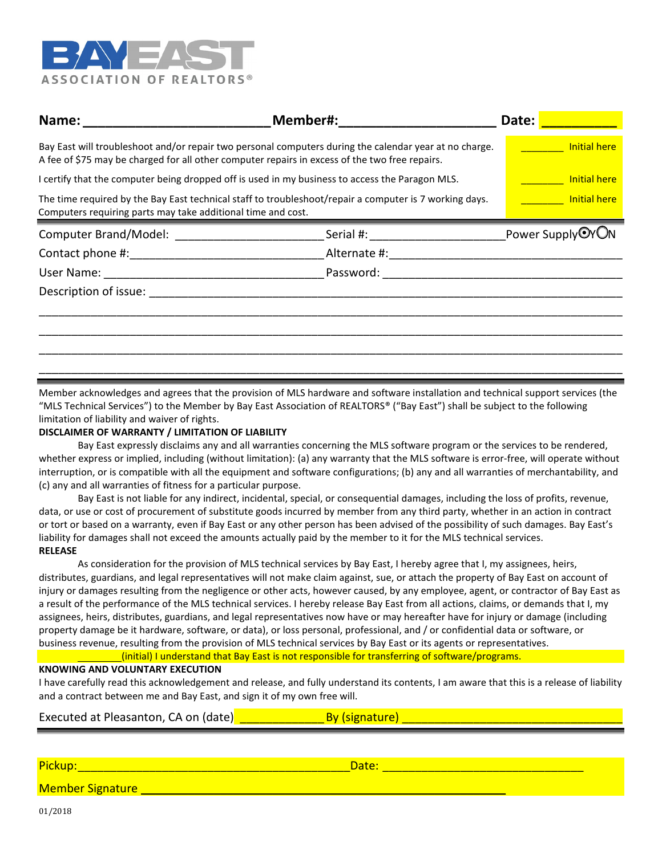

| Name:<br><u> 1989 - Johann John Stone, mars eta bat eta bat eta bat eta bat eta bat eta bat eta bat eta bat eta bat eta b</u>                                                                            | Member#: ___________________   | Date:                          |
|----------------------------------------------------------------------------------------------------------------------------------------------------------------------------------------------------------|--------------------------------|--------------------------------|
| Bay East will troubleshoot and/or repair two personal computers during the calendar year at no charge.<br>A fee of \$75 may be charged for all other computer repairs in excess of the two free repairs. |                                | <b>Example 15 Initial here</b> |
| I certify that the computer being dropped off is used in my business to access the Paragon MLS.                                                                                                          |                                | <b>Example 15 Initial here</b> |
| The time required by the Bay East technical staff to troubleshoot/repair a computer is 7 working days.<br>Computers requiring parts may take additional time and cost.                                   | <b>Example 15 Initial here</b> |                                |
|                                                                                                                                                                                                          |                                | Power Supply <sup>O</sup> YON  |
|                                                                                                                                                                                                          |                                |                                |
|                                                                                                                                                                                                          |                                |                                |
|                                                                                                                                                                                                          |                                |                                |
|                                                                                                                                                                                                          |                                |                                |
|                                                                                                                                                                                                          |                                |                                |
|                                                                                                                                                                                                          |                                |                                |
|                                                                                                                                                                                                          |                                |                                |

Member acknowledges and agrees that the provision of MLS hardware and software installation and technical support services (the "MLS Technical Services") to the Member by Bay East Association of REALTORS® ("Bay East") shall be subject to the following limitation of liability and waiver of rights.

## **DISCLAIMER OF WARRANTY / LIMITATION OF LIABILITY**

Bay East expressly disclaims any and all warranties concerning the MLS software program or the services to be rendered, whether express or implied, including (without limitation): (a) any warranty that the MLS software is error-free, will operate without interruption, or is compatible with all the equipment and software configurations; (b) any and all warranties of merchantability, and (c) any and all warranties of fitness for a particular purpose.

Bay East is not liable for any indirect, incidental, special, or consequential damages, including the loss of profits, revenue, data, or use or cost of procurement of substitute goods incurred by member from any third party, whether in an action in contract or tort or based on a warranty, even if Bay East or any other person has been advised of the possibility of such damages. Bay East's liability for damages shall not exceed the amounts actually paid by the member to it for the MLS technical services. **RELEASE**

As consideration for the provision of MLS technical services by Bay East, I hereby agree that I, my assignees, heirs, distributes, guardians, and legal representatives will not make claim against, sue, or attach the property of Bay East on account of injury or damages resulting from the negligence or other acts, however caused, by any employee, agent, or contractor of Bay East as a result of the performance of the MLS technical services. I hereby release Bay East from all actions, claims, or demands that I, my assignees, heirs, distributes, guardians, and legal representatives now have or may hereafter have for injury or damage (including property damage be it hardware, software, or data), or loss personal, professional, and / or confidential data or software, or business revenue, resulting from the provision of MLS technical services by Bay East or its agents or representatives.

## (initial) I understand that Bay East is not responsible for transferring of software/programs.

## **KNOWING AND VOLUNTARY EXECUTION**

I have carefully read this acknowledgement and release, and fully understand its contents, I am aware that this is a release of liability and a contract between me and Bay East, and sign it of my own free will.

| Executed at Pleasanton, CA on (date) |  |
|--------------------------------------|--|
|--------------------------------------|--|

| Pickup.                 | Date |
|-------------------------|------|
| <b>Member Signature</b> |      |